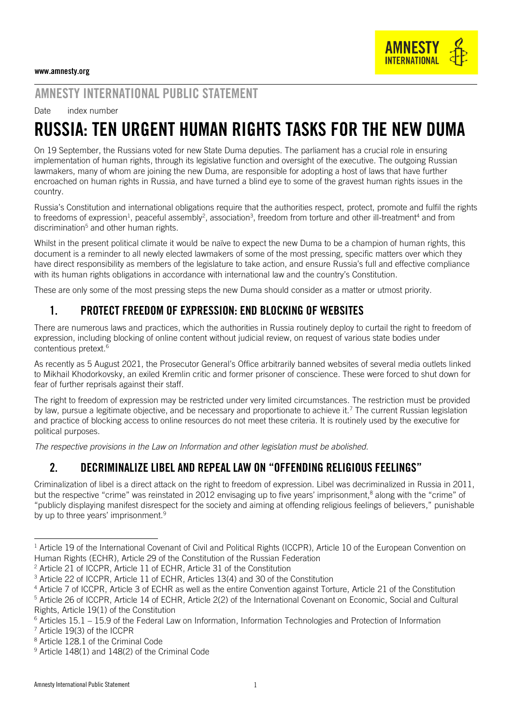# AMNESTY INTERNATIONAL PUBLIC STATEMENT

Date index number

# RUSSIA: TEN URGENT HUMAN RIGHTS TASKS FOR THE NEW DUMA

On 19 September, the Russians voted for new State Duma deputies. The parliament has a crucial role in ensuring implementation of human rights, through its legislative function and oversight of the executive. The outgoing Russian lawmakers, many of whom are joining the new Duma, are responsible for adopting a host of laws that have further encroached on human rights in Russia, and have turned a blind eye to some of the gravest human rights issues in the country.

Russia's Constitution and international obligations require that the authorities respect, protect, promote and fulfil the rights to freedoms of expression<sup>1</sup>, peaceful assembly<sup>2</sup>, association<sup>3</sup>, freedom from torture and other ill-treatment<sup>4</sup> and from discrimination<sup>5</sup> and other human rights.

Whilst in the present political climate it would be naïve to expect the new Duma to be a champion of human rights, this document is a reminder to all newly elected lawmakers of some of the most pressing, specific matters over which they have direct responsibility as members of the legislature to take action, and ensure Russia's full and effective compliance with its human rights obligations in accordance with international law and the country's Constitution.

These are only some of the most pressing steps the new Duma should consider as a matter or utmost priority.

### 1. PROTECT FREEDOM OF EXPRESSION: END BLOCKING OF WEBSITES

There are numerous laws and practices, which the authorities in Russia routinely deploy to curtail the right to freedom of expression, including blocking of online content without judicial review, on request of various state bodies under contentious pretext.<sup>6</sup>

As recently as 5 August 2021, the Prosecutor General's Office arbitrarily banned websites of several media outlets linked to Mikhail Khodorkovsky, an exiled Kremlin critic and former prisoner of conscience. These were forced to shut down for fear of further reprisals against their staff.

The right to freedom of expression may be restricted under very limited circumstances. The restriction must be provided by law, pursue a legitimate objective, and be necessary and proportionate to achieve it.<sup>7</sup> The current Russian legislation and practice of blocking access to online resources do not meet these criteria. It is routinely used by the executive for political purposes.

*The respective provisions in the Law on Information and other legislation must be abolished.* 

#### 2. DECRIMINALIZE LIBEL AND REPEAL LAW ON "OFFENDING RELIGIOUS FEELINGS"

Criminalization of libel is a direct attack on the right to freedom of expression. Libel was decriminalized in Russia in 2011, but the respective "crime" was reinstated in 2012 envisaging up to five years' imprisonment,<sup>8</sup> along with the "crime" of "publicly displaying manifest disrespect for the society and aiming at offending religious feelings of believers," punishable by up to three years' imprisonment.<sup>9</sup>

<sup>7</sup> Article 19(3) of the ICCPR

<sup>&</sup>lt;sup>1</sup> Article 19 of the International Covenant of Civil and Political Rights (ICCPR), Article 10 of the European Convention on Human Rights (ECHR), Article 29 of the Constitution of the Russian Federation

<sup>2</sup> Article 21 of ICCPR, Article 11 of ECHR, Article 31 of the Constitution

<sup>3</sup> Article 22 of ICCPR, Article 11 of ECHR, Articles 13(4) and 30 of the Constitution

<sup>&</sup>lt;sup>4</sup> Article 7 of ICCPR, Article 3 of ECHR as well as the entire Convention against Torture, Article 21 of the Constitution

<sup>5</sup> Article 26 of ICCPR, Article 14 of ECHR, Article 2(2) of the International Covenant on Economic, Social and Cultural Rights, Article 19(1) of the Constitution

 $6$  Articles 15.1 – 15.9 of the Federal Law on Information, Information Technologies and Protection of Information

<sup>8</sup> Article 128.1 of the Criminal Code

<sup>9</sup> Article 148(1) and 148(2) of the Criminal Code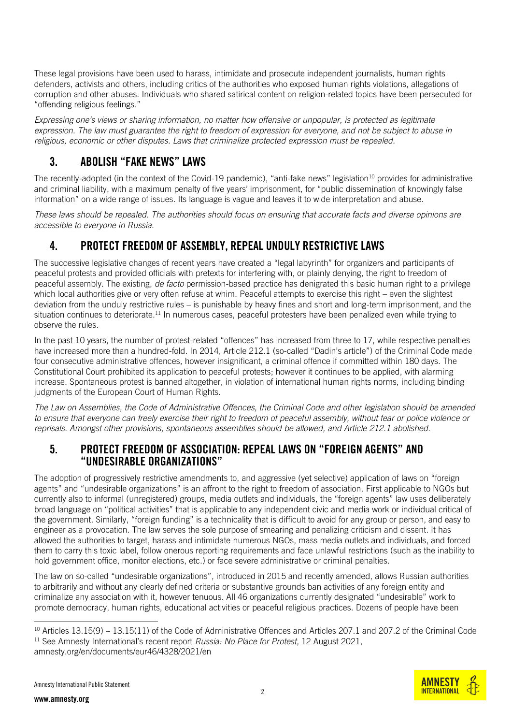These legal provisions have been used to harass, intimidate and prosecute independent journalists, human rights defenders, activists and others, including critics of the authorities who exposed human rights violations, allegations of corruption and other abuses. Individuals who shared satirical content on religion-related topics have been persecuted for "offending religious feelings."

*Expressing one's views or sharing information, no matter how offensive or unpopular, is protected as legitimate expression. The law must guarantee the right to freedom of expression for everyone, and not be subject to abuse in religious, economic or other disputes. Laws that criminalize protected expression must be repealed.*

## 3. ABOLISH "FAKE NEWS" LAWS

The recently-adopted (in the context of the Covid-19 pandemic), "anti-fake news" legislation<sup>10</sup> provides for administrative and criminal liability, with a maximum penalty of five years' imprisonment, for "public dissemination of knowingly false information" on a wide range of issues. Its language is vague and leaves it to wide interpretation and abuse.

*These laws should be repealed. The authorities should focus on ensuring that accurate facts and diverse opinions are accessible to everyone in Russia.*

## 4. PROTECT FREEDOM OF ASSEMBLY, REPEAL UNDULY RESTRICTIVE LAWS

The successive legislative changes of recent years have created a "legal labyrinth" for organizers and participants of peaceful protests and provided officials with pretexts for interfering with, or plainly denying, the right to freedom of peaceful assembly. The existing, *de facto* permission-based practice has denigrated this basic human right to a privilege which local authorities give or very often refuse at whim. Peaceful attempts to exercise this right – even the slightest deviation from the unduly restrictive rules – is punishable by heavy fines and short and long-term imprisonment, and the situation continues to deteriorate.<sup>11</sup> In numerous cases, peaceful protesters have been penalized even while trying to observe the rules.

In the past 10 years, the number of protest-related "offences" has increased from three to 17, while respective penalties have increased more than a hundred-fold. In 2014, Article 212.1 (so-called "Dadin's article") of the Criminal Code made four consecutive administrative offences, however insignificant, a criminal offence if committed within 180 days. The Constitutional Court prohibited its application to peaceful protests; however it continues to be applied, with alarming increase. Spontaneous protest is banned altogether, in violation of international human rights norms, including binding judgments of the European Court of Human Rights.

*The Law on Assemblies, the Code of Administrative Offences, the Criminal Code and other legislation should be amended to ensure that everyone can freely exercise their right to freedom of peaceful assembly, without fear or police violence or reprisals. Amongst other provisions, spontaneous assemblies should be allowed, and Article 212.1 abolished.* 

#### 5. PROTECT FREEDOM OF ASSOCIATION: REPEAL LAWS ON "FOREIGN AGENTS" AND "UNDESIRABLE ORGANIZATIONS"

The adoption of progressively restrictive amendments to, and aggressive (yet selective) application of laws on "foreign agents" and "undesirable organizations" is an affront to the right to freedom of association. First applicable to NGOs but currently also to informal (unregistered) groups, media outlets and individuals, the "foreign agents" law uses deliberately broad language on "political activities" that is applicable to any independent civic and media work or individual critical of the government. Similarly, "foreign funding" is a technicality that is difficult to avoid for any group or person, and easy to engineer as a provocation. The law serves the sole purpose of smearing and penalizing criticism and dissent. It has allowed the authorities to target, harass and intimidate numerous NGOs, mass media outlets and individuals, and forced them to carry this toxic label, follow onerous reporting requirements and face unlawful restrictions (such as the inability to hold government office, monitor elections, etc.) or face severe administrative or criminal penalties.

The law on so-called "undesirable organizations", introduced in 2015 and recently amended, allows Russian authorities to arbitrarily and without any clearly defined criteria or substantive grounds ban activities of any foreign entity and criminalize any association with it, however tenuous. All 46 organizations currently designated "undesirable" work to promote democracy, human rights, educational activities or peaceful religious practices. Dozens of people have been



<sup>&</sup>lt;sup>10</sup> Articles 13.15(9) – 13.15(11) of the Code of Administrative Offences and Articles 207.1 and 207.2 of the Criminal Code <sup>11</sup> See Amnesty International's recent report *Russia: No Place for Protest*, 12 August 2021, amnesty.org/en/documents/eur46/4328/2021/en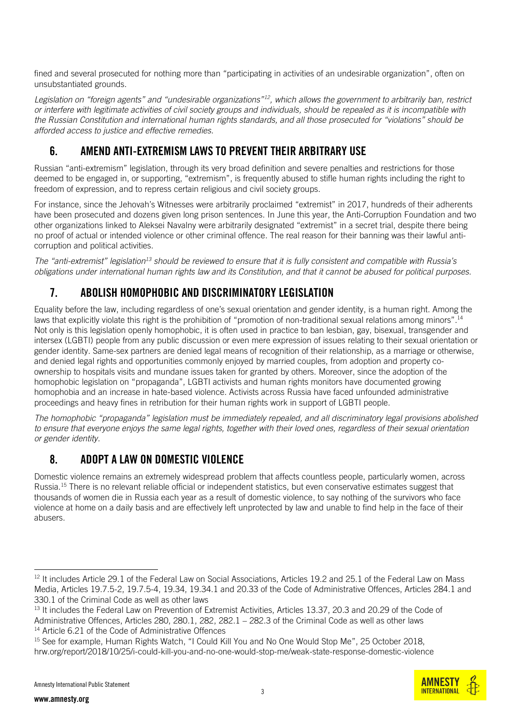fined and several prosecuted for nothing more than "participating in activities of an undesirable organization", often on unsubstantiated grounds.

*Legislation on "foreign agents" and "undesirable organizations"<sup>12</sup>, which allows the government to arbitrarily ban, restrict or interfere with legitimate activities of civil society groups and individuals, should be repealed as it is incompatible with the Russian Constitution and international human rights standards, and all those prosecuted for "violations" should be afforded access to justice and effective remedies.*

## 6. AMEND ANTI-EXTREMISM LAWS TO PREVENT THEIR ARBITRARY USE

Russian "anti-extremism" legislation, through its very broad definition and severe penalties and restrictions for those deemed to be engaged in, or supporting, "extremism", is frequently abused to stifle human rights including the right to freedom of expression, and to repress certain religious and civil society groups.

For instance, since the Jehovah's Witnesses were arbitrarily proclaimed "extremist" in 2017, hundreds of their adherents have been prosecuted and dozens given long prison sentences. In June this year, the Anti-Corruption Foundation and two other organizations linked to Aleksei Navalny were arbitrarily designated "extremist" in a secret trial, despite there being no proof of actual or intended violence or other criminal offence. The real reason for their banning was their lawful anticorruption and political activities.

*The "anti-extremist" legislation<sup>13</sup> should be reviewed to ensure that it is fully consistent and compatible with Russia's obligations under international human rights law and its Constitution, and that it cannot be abused for political purposes.*

# 7. ABOLISH HOMOPHOBIC AND DISCRIMINATORY LEGISLATION

Equality before the law, including regardless of one's sexual orientation and gender identity, is a human right. Among the laws that explicitly violate this right is the prohibition of "promotion of non-traditional sexual relations among minors".<sup>14</sup> Not only is this legislation openly homophobic, it is often used in practice to ban lesbian, gay, bisexual, transgender and intersex (LGBTI) people from any public discussion or even mere expression of issues relating to their sexual orientation or gender identity. Same-sex partners are denied legal means of recognition of their relationship, as a marriage or otherwise, and denied legal rights and opportunities commonly enjoyed by married couples, from adoption and property coownership to hospitals visits and mundane issues taken for granted by others. Moreover, since the adoption of the homophobic legislation on "propaganda", LGBTI activists and human rights monitors have documented growing homophobia and an increase in hate-based violence. Activists across Russia have faced unfounded administrative proceedings and heavy fines in retribution for their human rights work in support of LGBTI people.

*The homophobic "propaganda" legislation must be immediately repealed, and all discriminatory legal provisions abolished to ensure that everyone enjoys the same legal rights, together with their loved ones, regardless of their sexual orientation or gender identity.*

## 8. ADOPT A LAW ON DOMESTIC VIOLENCE

Domestic violence remains an extremely widespread problem that affects countless people, particularly women, across Russia.<sup>15</sup> There is no relevant reliable official or independent statistics, but even conservative estimates suggest that thousands of women die in Russia each year as a result of domestic violence, to say nothing of the survivors who face violence at home on a daily basis and are effectively left unprotected by law and unable to find help in the face of their abusers.

<sup>&</sup>lt;sup>12</sup> It includes Article 29.1 of the Federal Law on Social Associations, Articles 19.2 and 25.1 of the Federal Law on Mass Media, Articles 19.7.5-2, 19.7.5-4, 19.34, 19.34.1 and 20.33 of the Code of Administrative Offences, Articles 284.1 and 330.1 of the Criminal Code as well as other laws

<sup>&</sup>lt;sup>13</sup> It includes the Federal Law on Prevention of Extremist Activities, Articles 13.37, 20.3 and 20.29 of the Code of Administrative Offences, Articles 280, 280.1, 282, 282.1 – 282.3 of the Criminal Code as well as other laws <sup>14</sup> Article 6.21 of the Code of Administrative Offences

<sup>&</sup>lt;sup>15</sup> See for example, Human Rights Watch, "I Could Kill You and No One Would Stop Me", 25 October 2018, hrw.org/report/2018/10/25/i-could-kill-you-and-no-one-would-stop-me/weak-state-response-domestic-violence